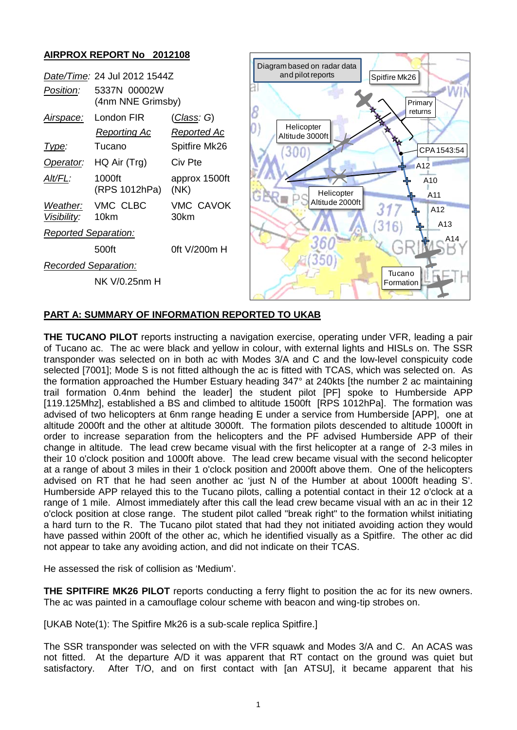

## **PART A: SUMMARY OF INFORMATION REPORTED TO UKAB**

**THE TUCANO PILOT** reports instructing a navigation exercise, operating under VFR, leading a pair of Tucano ac. The ac were black and yellow in colour, with external lights and HISLs on. The SSR transponder was selected on in both ac with Modes 3/A and C and the low-level conspicuity code selected [7001]; Mode S is not fitted although the ac is fitted with TCAS, which was selected on. As the formation approached the Humber Estuary heading 347° at 240kts [the number 2 ac maintaining trail formation 0.4nm behind the leader] the student pilot [PF] spoke to Humberside APP [119.125Mhz], established a BS and climbed to altitude 1500ft [RPS 1012hPa]. The formation was advised of two helicopters at 6nm range heading E under a service from Humberside [APP], one at altitude 2000ft and the other at altitude 3000ft. The formation pilots descended to altitude 1000ft in order to increase separation from the helicopters and the PF advised Humberside APP of their change in altitude. The lead crew became visual with the first helicopter at a range of 2-3 miles in their 10 o'clock position and 1000ft above. The lead crew became visual with the second helicopter at a range of about 3 miles in their 1 o'clock position and 2000ft above them. One of the helicopters advised on RT that he had seen another ac 'just N of the Humber at about 1000ft heading S'. Humberside APP relayed this to the Tucano pilots, calling a potential contact in their 12 o'clock at a range of 1 mile. Almost immediately after this call the lead crew became visual with an ac in their 12 o'clock position at close range. The student pilot called "break right" to the formation whilst initiating a hard turn to the R. The Tucano pilot stated that had they not initiated avoiding action they would have passed within 200ft of the other ac, which he identified visually as a Spitfire. The other ac did not appear to take any avoiding action, and did not indicate on their TCAS.

He assessed the risk of collision as 'Medium'.

**THE SPITFIRE MK26 PILOT** reports conducting a ferry flight to position the ac for its new owners. The ac was painted in a camouflage colour scheme with beacon and wing-tip strobes on.

[UKAB Note(1): The Spitfire Mk26 is a sub-scale replica Spitfire.]

The SSR transponder was selected on with the VFR squawk and Modes 3/A and C. An ACAS was not fitted. At the departure A/D it was apparent that RT contact on the ground was quiet but satisfactory. After T/O, and on first contact with [an ATSU], it became apparent that his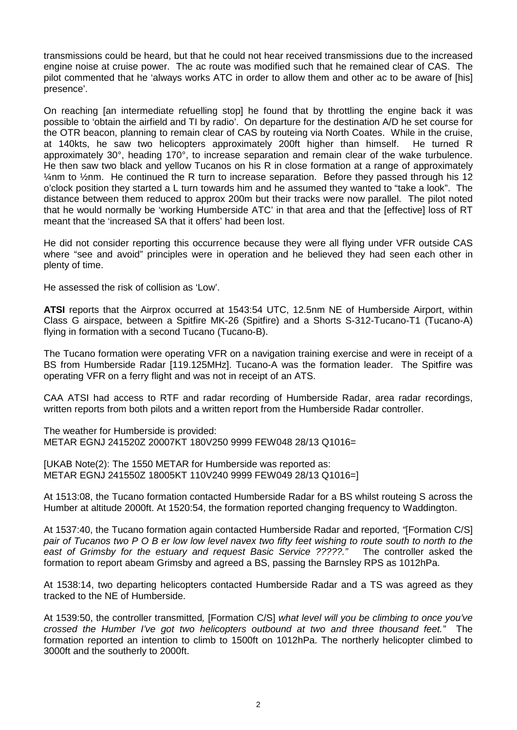transmissions could be heard, but that he could not hear received transmissions due to the increased engine noise at cruise power. The ac route was modified such that he remained clear of CAS. The pilot commented that he 'always works ATC in order to allow them and other ac to be aware of [his] presence'.

On reaching [an intermediate refuelling stop] he found that by throttling the engine back it was possible to 'obtain the airfield and TI by radio'. On departure for the destination A/D he set course for the OTR beacon, planning to remain clear of CAS by routeing via North Coates. While in the cruise, at 140kts, he saw two helicopters approximately 200ft higher than himself. He turned R approximately 30°, heading 170°, to increase separation and remain clear of the wake turbulence. He then saw two black and yellow Tucanos on his R in close formation at a range of approximately ¼nm to ½nm. He continued the R turn to increase separation. Before they passed through his 12 o'clock position they started a L turn towards him and he assumed they wanted to "take a look". The distance between them reduced to approx 200m but their tracks were now parallel. The pilot noted that he would normally be 'working Humberside ATC' in that area and that the [effective] loss of RT meant that the 'increased SA that it offers' had been lost.

He did not consider reporting this occurrence because they were all flying under VFR outside CAS where "see and avoid" principles were in operation and he believed they had seen each other in plenty of time.

He assessed the risk of collision as 'Low'.

**ATSI** reports that the Airprox occurred at 1543:54 UTC, 12.5nm NE of Humberside Airport, within Class G airspace, between a Spitfire MK-26 (Spitfire) and a Shorts S-312-Tucano-T1 (Tucano-A) flying in formation with a second Tucano (Tucano-B).

The Tucano formation were operating VFR on a navigation training exercise and were in receipt of a BS from Humberside Radar [119.125MHz]. Tucano-A was the formation leader. The Spitfire was operating VFR on a ferry flight and was not in receipt of an ATS.

CAA ATSI had access to RTF and radar recording of Humberside Radar, area radar recordings, written reports from both pilots and a written report from the Humberside Radar controller.

The weather for Humberside is provided: METAR EGNJ 241520Z 20007KT 180V250 9999 FEW048 28/13 Q1016=

[UKAB Note(2): The 1550 METAR for Humberside was reported as: METAR EGNJ 241550Z 18005KT 110V240 9999 FEW049 28/13 Q1016=]

At 1513:08, the Tucano formation contacted Humberside Radar for a BS whilst routeing S across the Humber at altitude 2000ft. At 1520:54, the formation reported changing frequency to Waddington.

At 1537:40, the Tucano formation again contacted Humberside Radar and reported, *"*[Formation C/S] *pair of Tucanos two P O B er low low level navex two fifty feet wishing to route south to north to the east of Grimsby for the estuary and request Basic Service ?????."* The controller asked the formation to report abeam Grimsby and agreed a BS, passing the Barnsley RPS as 1012hPa.

At 1538:14, two departing helicopters contacted Humberside Radar and a TS was agreed as they tracked to the NE of Humberside.

At 1539:50, the controller transmitted*,* [Formation C/S] *what level will you be climbing to once you've crossed the Humber I've got two helicopters outbound at two and three thousand feet."* The formation reported an intention to climb to 1500ft on 1012hPa. The northerly helicopter climbed to 3000ft and the southerly to 2000ft.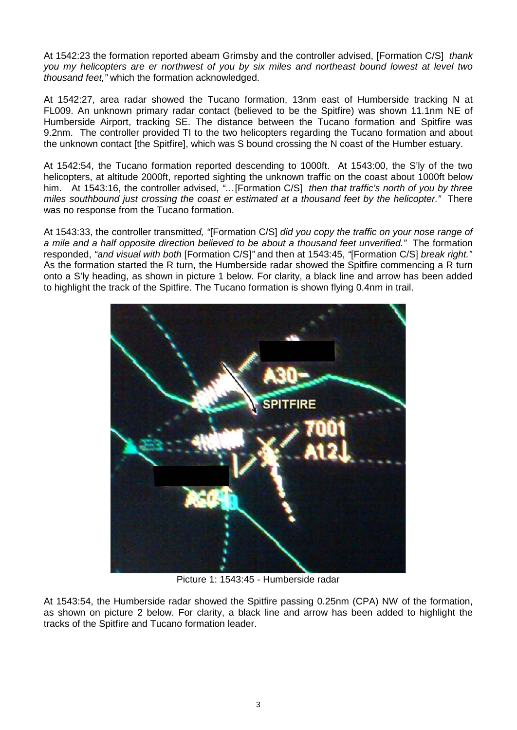At 1542:23 the formation reported abeam Grimsby and the controller advised, [Formation C/S] *thank you my helicopters are er northwest of you by six miles and northeast bound lowest at level two thousand feet,"* which the formation acknowledged.

At 1542:27, area radar showed the Tucano formation, 13nm east of Humberside tracking N at FL009. An unknown primary radar contact (believed to be the Spitfire) was shown 11.1nm NE of Humberside Airport, tracking SE. The distance between the Tucano formation and Spitfire was 9.2nm. The controller provided TI to the two helicopters regarding the Tucano formation and about the unknown contact [the Spitfire], which was S bound crossing the N coast of the Humber estuary.

At 1542:54, the Tucano formation reported descending to 1000ft. At 1543:00, the S'ly of the two helicopters, at altitude 2000ft, reported sighting the unknown traffic on the coast about 1000ft below him. At 1543:16, the controller advised, *"…*[Formation C/S] *then that traffic's north of you by three miles southbound just crossing the coast er estimated at a thousand feet by the helicopter."* There was no response from the Tucano formation.

At 1543:33, the controller transmitte*d, "*[Formation C/S] *did you copy the traffic on your nose range of a mile and a half opposite direction believed to be about a thousand feet unverified."* The formation responded, *"and visual with both* [Formation C/S]*"* and then at 1543:45, *"*[Formation C/S] *break right."* As the formation started the R turn, the Humberside radar showed the Spitfire commencing a R turn onto a S'ly heading, as shown in picture 1 below. For clarity, a black line and arrow has been added to highlight the track of the Spitfire. The Tucano formation is shown flying 0.4nm in trail.



Picture 1: 1543:45 - Humberside radar

At 1543:54, the Humberside radar showed the Spitfire passing 0.25nm (CPA) NW of the formation, as shown on picture 2 below. For clarity, a black line and arrow has been added to highlight the tracks of the Spitfire and Tucano formation leader.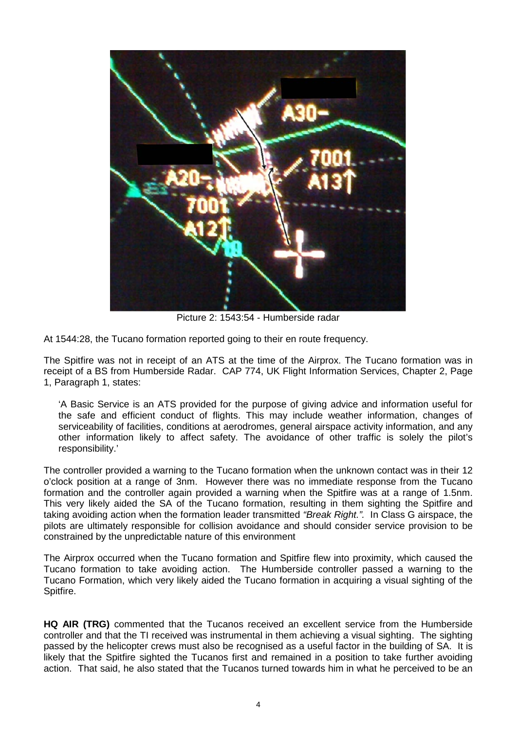

Picture 2: 1543:54 - Humberside radar

At 1544:28, the Tucano formation reported going to their en route frequency.

The Spitfire was not in receipt of an ATS at the time of the Airprox. The Tucano formation was in receipt of a BS from Humberside Radar. CAP 774, UK Flight Information Services, Chapter 2, Page 1, Paragraph 1, states:

'A Basic Service is an ATS provided for the purpose of giving advice and information useful for the safe and efficient conduct of flights. This may include weather information, changes of serviceability of facilities, conditions at aerodromes, general airspace activity information, and any other information likely to affect safety. The avoidance of other traffic is solely the pilot's responsibility.'

The controller provided a warning to the Tucano formation when the unknown contact was in their 12 o'clock position at a range of 3nm. However there was no immediate response from the Tucano formation and the controller again provided a warning when the Spitfire was at a range of 1.5nm. This very likely aided the SA of the Tucano formation, resulting in them sighting the Spitfire and taking avoiding action when the formation leader transmitted *"Break Right.".* In Class G airspace, the pilots are ultimately responsible for collision avoidance and should consider service provision to be constrained by the unpredictable nature of this environment

The Airprox occurred when the Tucano formation and Spitfire flew into proximity, which caused the Tucano formation to take avoiding action. The Humberside controller passed a warning to the Tucano Formation, which very likely aided the Tucano formation in acquiring a visual sighting of the Spitfire.

**HQ AIR (TRG)** commented that the Tucanos received an excellent service from the Humberside controller and that the TI received was instrumental in them achieving a visual sighting. The sighting passed by the helicopter crews must also be recognised as a useful factor in the building of SA. It is likely that the Spitfire sighted the Tucanos first and remained in a position to take further avoiding action. That said, he also stated that the Tucanos turned towards him in what he perceived to be an